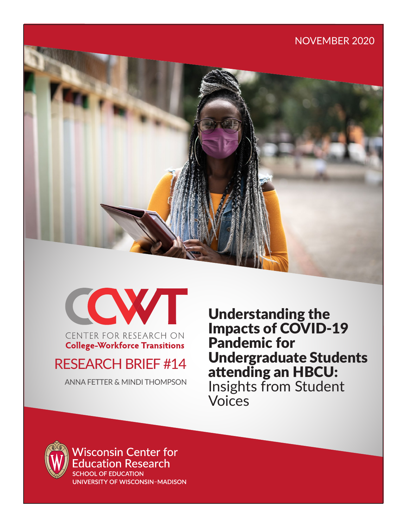



**College-Workforce Transitions** 

# RESEARCH BRIEF #14

ANNA FETTER & MINDI THOMPSON

Understanding the Impacts of COVID-19 Pandemic for Undergraduate Students attending an HBCU: Insights from Student Voices



**Wisconsin Center for** ducation Research **SCHOOL OF EDUCATION** 

UNIVERSITY OF WISCONSIN-MADISON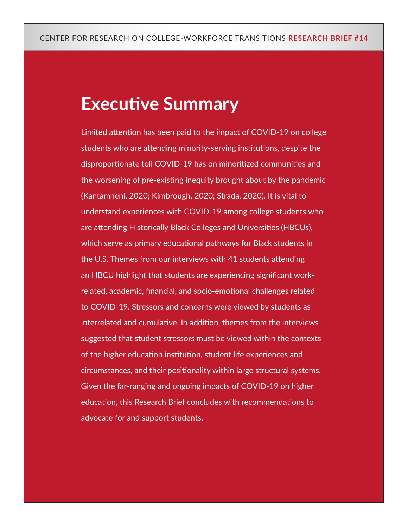# **Executive Summary**

Limited attention has been paid to the impact of COVID-19 on college students who are attending minority-serving institutions, despite the disproportionate toll COVID-19 has on minoritized communities and the worsening of pre-existing inequity brought about by the pandemic (Kantamneni, 2020; Kimbrough, 2020; Strada, 2020). It is vital to understand experiences with COVID-19 among college students who are attending Historically Black Colleges and Universities (HBCUs), which serve as primary educational pathways for Black students in the U.S. Themes from our interviews with 41 students attending an HBCU highlight that students are experiencing significant workrelated, academic, financial, and socio-emotional challenges related to COVID-19. Stressors and concerns were viewed by students as interrelated and cumulative. In addition, themes from the interviews suggested that student stressors must be viewed within the contexts of the higher education institution, student life experiences and circumstances, and their positionality within large structural systems. Given the far-ranging and ongoing impacts of COVID-19 on higher education, this Research Brief concludes with recommendations to advocate for and support students.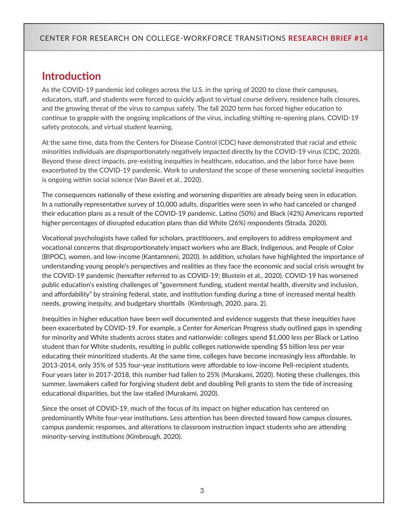# **Introduction**

As the COVID-19 pandemic led colleges across the U.S. in the spring of 2020 to close their campuses, educators, staff, and students were forced to quickly adjust to virtual course delivery, residence halls closures, and the growing threat of the virus to campus safety. The fall 2020 term has forced higher education to continue to grapple with the ongoing implications of the virus, including shifting re-opening plans, COVID-19 safety protocols, and virtual student learning.

At the same time, data from the Centers for Disease Control (CDC) have demonstrated that racial and ethnic minorities individuals are disproportionately negatively impacted directly by the COVID-19 virus (CDC, 2020). Beyond these direct impacts, pre-existing inequities in healthcare, education, and the labor force have been exacerbated by the COVID-19 pandemic. Work to understand the scope of these worsening societal inequities is ongoing within social science (Van Bavel et al., 2020).

The consequences nationally of these existing and worsening disparities are already being seen in education. In a nationally representative survey of 10,000 adults, disparities were seen in who had canceled or changed their education plans as a result of the COVID-19 pandemic. Latino (50%) and Black (42%) Americans reported higher percentages of disrupted education plans than did White (26%) respondents (Strada, 2020).

Vocational psychologists have called for scholars, practitioners, and employers to address employment and vocational concerns that disproportionately impact workers who are Black, Indigenous, and People of Color (BIPOC), women, and low-income (Kantamneni, 2020). In addition, scholars have highlighted the importance of understanding young people's perspectives and realities as they face the economic and social crisis wrought by the COVID-19 pandemic (hereafter referred to as COVID-19; Blustein et al., 2020). COVID-19 has worsened public education's existing challenges of "government funding, student mental health, diversity and inclusion, and affordability" by straining federal, state, and institution funding during a time of increased mental health needs, growing inequity, and budgetary shortfalls (Kimbrough, 2020, para. 2).

Inequities in higher education have been well documented and evidence suggests that these inequities have been exacerbated by COVID-19. For example, a Center for American Progress study outlined gaps in spending for minority and White students across states and nationwide: colleges spend \$1,000 less per Black or Latino student than for White students, resulting in public colleges nationwide spending \$5 billion less per year educating their minoritized students. At the same time, colleges have become increasingly less affordable. In 2013-2014, only 35% of 535 four-year institutions were affordable to low-income Pell-recipient students. Four years later in 2017-2018, this number had fallen to 25% (Murakami, 2020). Noting these challenges, this summer, lawmakers called for forgiving student debt and doubling Pell grants to stem the tide of increasing educational disparities, but the law stalled (Murakami, 2020).

Since the onset of COVID-19, much of the focus of its impact on higher education has centered on predominantly White four-year institutions. Less attention has been directed toward how campus closures, campus pandemic responses, and alterations to classroom instruction impact students who are attending minority-serving institutions (Kimbrough, 2020).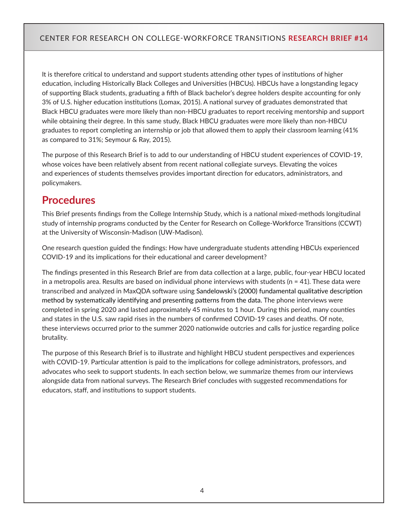It is therefore critical to understand and support students attending other types of institutions of higher education, including Historically Black Colleges and Universities (HBCUs). HBCUs have a longstanding legacy of supporting Black students, graduating a fifth of Black bachelor's degree holders despite accounting for only 3% of U.S. higher education institutions (Lomax, 2015). A national survey of graduates demonstrated that Black HBCU graduates were more likely than non-HBCU graduates to report receiving mentorship and support while obtaining their degree. In this same study, Black HBCU graduates were more likely than non-HBCU graduates to report completing an internship or job that allowed them to apply their classroom learning (41% as compared to 31%; Seymour & Ray, 2015).

The purpose of this Research Brief is to add to our understanding of HBCU student experiences of COVID-19, whose voices have been relatively absent from recent national collegiate surveys. Elevating the voices and experiences of students themselves provides important direction for educators, administrators, and policymakers.

# **Procedures**

This Brief presents findings from the College Internship Study, which is a national mixed-methods longitudinal study of internship programs conducted by the Center for Research on College-Workforce Transitions (CCWT) at the University of Wisconsin-Madison (UW-Madison).

One research question guided the findings: How have undergraduate students attending HBCUs experienced COVID-19 and its implications for their educational and career development?

The findings presented in this Research Brief are from data collection at a large, public, four-year HBCU located in a metropolis area. Results are based on individual phone interviews with students ( $n = 41$ ). These data were transcribed and analyzed in MaxQDA software using Sandelowski's (2000) fundamental qualitative description method by systematically identifying and presenting patterns from the data. The phone interviews were completed in spring 2020 and lasted approximately 45 minutes to 1 hour. During this period, many counties and states in the U.S. saw rapid rises in the numbers of confirmed COVID-19 cases and deaths. Of note, these interviews occurred prior to the summer 2020 nationwide outcries and calls for justice regarding police brutality.

The purpose of this Research Brief is to illustrate and highlight HBCU student perspectives and experiences with COVID-19. Particular attention is paid to the implications for college administrators, professors, and advocates who seek to support students. In each section below, we summarize themes from our interviews alongside data from national surveys. The Research Brief concludes with suggested recommendations for educators, staff, and institutions to support students.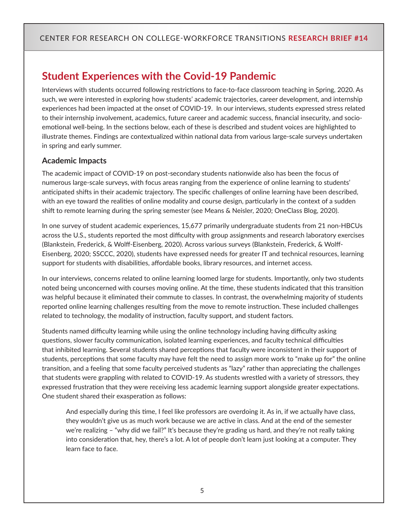# **Student Experiences with the Covid-19 Pandemic**

Interviews with students occurred following restrictions to face-to-face classroom teaching in Spring, 2020. As such, we were interested in exploring how students' academic trajectories, career development, and internship experiences had been impacted at the onset of COVID-19. In our interviews, students expressed stress related to their internship involvement, academics, future career and academic success, financial insecurity, and socioemotional well-being. In the sections below, each of these is described and student voices are highlighted to illustrate themes. Findings are contextualized within national data from various large-scale surveys undertaken in spring and early summer.

### **Academic Impacts**

The academic impact of COVID-19 on post-secondary students nationwide also has been the focus of numerous large-scale surveys, with focus areas ranging from the experience of online learning to students' anticipated shifts in their academic trajectory. The specific challenges of online learning have been described, with an eye toward the realities of online modality and course design, particularly in the context of a sudden shift to remote learning during the spring semester (see Means & Neisler, 2020; OneClass Blog, 2020).

In one survey of student academic experiences, 15,677 primarily undergraduate students from 21 non-HBCUs across the U.S., students reported the most difficulty with group assignments and research laboratory exercises (Blankstein, Frederick, & Wolff-Eisenberg, 2020). Across various surveys (Blankstein, Frederick, & Wolff-Eisenberg, 2020; SSCCC, 2020), students have expressed needs for greater IT and technical resources, learning support for students with disabilities, affordable books, library resources, and internet access.

In our interviews, concerns related to online learning loomed large for students. Importantly, only two students noted being unconcerned with courses moving online. At the time, these students indicated that this transition was helpful because it eliminated their commute to classes. In contrast, the overwhelming majority of students reported online learning challenges resulting from the move to remote instruction. These included challenges related to technology, the modality of instruction, faculty support, and student factors.

Students named difficulty learning while using the online technology including having difficulty asking questions, slower faculty communication, isolated learning experiences, and faculty technical difficulties that inhibited learning. Several students shared perceptions that faculty were inconsistent in their support of students, perceptions that some faculty may have felt the need to assign more work to "make up for" the online transition, and a feeling that some faculty perceived students as "lazy" rather than appreciating the challenges that students were grappling with related to COVID-19. As students wrestled with a variety of stressors, they expressed frustration that they were receiving less academic learning support alongside greater expectations. One student shared their exasperation as follows:

And especially during this time, I feel like professors are overdoing it. As in, if we actually have class, they wouldn't give us as much work because we are active in class. And at the end of the semester we're realizing – "why did we fail?" It's because they're grading us hard, and they're not really taking into consideration that, hey, there's a lot. A lot of people don't learn just looking at a computer. They learn face to face.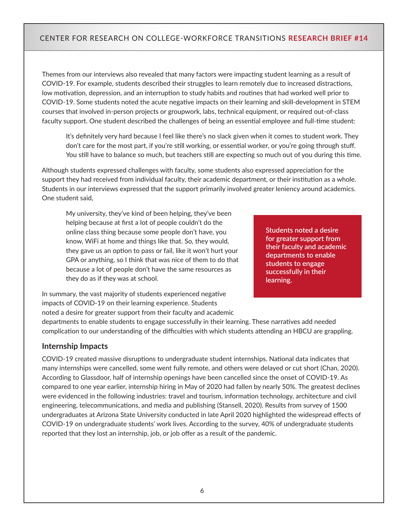Themes from our interviews also revealed that many factors were impacting student learning as a result of COVID-19. For example, students described their struggles to learn remotely due to increased distractions, low motivation, depression, and an interruption to study habits and routines that had worked well prior to COVID-19. Some students noted the acute negative impacts on their learning and skill-development in STEM courses that involved in-person projects or groupwork, labs, technical equipment, or required out-of-class faculty support. One student described the challenges of being an essential employee and full-time student:

It's definitely very hard because I feel like there's no slack given when it comes to student work. They don't care for the most part, if you're still working, or essential worker, or you're going through stuff. You still have to balance so much, but teachers still are expecting so much out of you during this time.

Although students expressed challenges with faculty, some students also expressed appreciation for the support they had received from individual faculty, their academic department, or their institution as a whole. Students in our interviews expressed that the support primarily involved greater leniency around academics. One student said,

My university, they've kind of been helping, they've been helping because at first a lot of people couldn't do the online class thing because some people don't have, you know, WiFi at home and things like that. So, they would, they gave us an option to pass or fail, like it won't hurt your GPA or anything, so I think that was nice of them to do that because a lot of people don't have the same resources as they do as if they was at school.

**Students noted a desire for greater support from their faculty and academic departments to enable students to engage successfully in their learning.**

In summary, the vast majority of students experienced negative impacts of COVID-19 on their learning experience. Students noted a desire for greater support from their faculty and academic

departments to enable students to engage successfully in their learning. These narratives add needed complication to our understanding of the difficulties with which students attending an HBCU are grappling.

#### **Internship Impacts**

COVID-19 created massive disruptions to undergraduate student internships. National data indicates that many internships were cancelled, some went fully remote, and others were delayed or cut short (Chan, 2020). According to Glassdoor, half of internship openings have been cancelled since the onset of COVID-19. As compared to one year earlier, internship hiring in May of 2020 had fallen by nearly 50%. The greatest declines were evidenced in the following industries: travel and tourism, information technology, architecture and civil engineering, telecommunications, and media and publishing (Stansell, 2020). Results from survey of 1500 undergraduates at Arizona State University conducted in late April 2020 highlighted the widespread effects of COVID-19 on undergraduate students' work lives. According to the survey, 40% of undergraduate students reported that they lost an internship, job, or job offer as a result of the pandemic.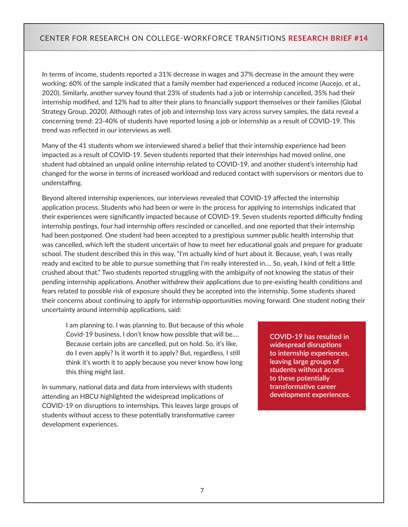In terms of income, students reported a 31% decrease in wages and 37% decrease in the amount they were working; 60% of the sample indicated that a family member had experienced a reduced income (Aucejo, et al., 2020). Similarly, another survey found that 23% of students had a job or internship cancelled, 35% had their internship modified, and 12% had to alter their plans to financially support themselves or their families (Global Strategy Group, 2020). Although rates of job and internship loss vary across survey samples, the data reveal a concerning trend: 23-40% of students have reported losing a job or internship as a result of COVID-19. This trend was reflected in our interviews as well.

Many of the 41 students whom we interviewed shared a belief that their internship experience had been impacted as a result of COVID-19. Seven students reported that their internships had moved online, one student had obtained an unpaid online internship related to COVID-19, and another student's internship had changed for the worse in terms of increased workload and reduced contact with supervisors or mentors due to understaffing.

Beyond altered internship experiences, our interviews revealed that COVID-19 affected the internship application process. Students who had been or were in the process for applying to internships indicated that their experiences were significantly impacted because of COVID-19. Seven students reported difficulty finding internship postings, four had internship offers rescinded or cancelled, and one reported that their internship had been postponed. One student had been accepted to a prestigious summer public health internship that was cancelled, which left the student uncertain of how to meet her educational goals and prepare for graduate school. The student described this in this way, "I'm actually kind of hurt about it. Because, yeah, I was really ready and excited to be able to pursue something that I'm really interested in.... So, yeah, I kind of felt a little crushed about that." Two students reported struggling with the ambiguity of not knowing the status of their pending internship applications. Another withdrew their applications due to pre-existing health conditions and fears related to possible risk of exposure should they be accepted into the internship. Some students shared their concerns about continuing to apply for internship opportunities moving forward. One student noting their uncertainty around internship applications, said:

I am planning to. I was planning to. But because of this whole Covid-19 business, I don't know how possible that will be…. Because certain jobs are cancelled, put on hold. So, it's like, do I even apply? Is it worth it to apply? But, regardless, I still think it's worth it to apply because you never know how long this thing might last.

In summary, national data and data from interviews with students attending an HBCU highlighted the widespread implications of COVID-19 on disruptions to internships. This leaves large groups of students without access to these potentially transformative career development experiences.

**COVID-19 has resulted in widespread disruptions to internship experiences, leaving large groups of students without access to these potentially transformative career development experiences.**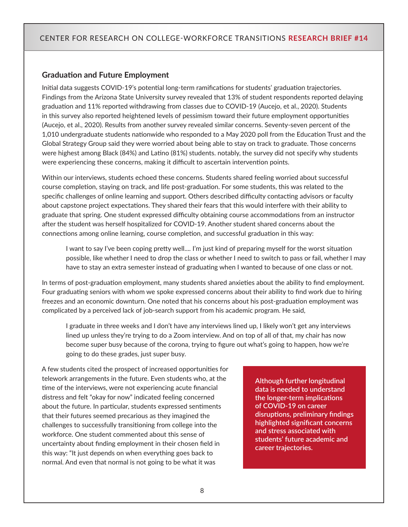#### **Graduation and Future Employment**

Initial data suggests COVID-19's potential long-term ramifications for students' graduation trajectories. Findings from the Arizona State University survey revealed that 13% of student respondents reported delaying graduation and 11% reported withdrawing from classes due to COVID-19 (Aucejo, et al., 2020). Students in this survey also reported heightened levels of pessimism toward their future employment opportunities (Aucejo, et al., 2020). Results from another survey revealed similar concerns. Seventy-seven percent of the 1,010 undergraduate students nationwide who responded to a May 2020 poll from the Education Trust and the Global Strategy Group said they were worried about being able to stay on track to graduate. Those concerns were highest among Black (84%) and Latino (81%) students. notably, the survey did not specify why students were experiencing these concerns, making it difficult to ascertain intervention points.

Within our interviews, students echoed these concerns. Students shared feeling worried about successful course completion, staying on track, and life post-graduation. For some students, this was related to the specific challenges of online learning and support. Others described difficulty contacting advisors or faculty about capstone project expectations. They shared their fears that this would interfere with their ability to graduate that spring. One student expressed difficulty obtaining course accommodations from an instructor after the student was herself hospitalized for COVID-19. Another student shared concerns about the connections among online learning, course completion, and successful graduation in this way:

I want to say I've been coping pretty well.... I'm just kind of preparing myself for the worst situation possible, like whether I need to drop the class or whether I need to switch to pass or fail, whether I may have to stay an extra semester instead of graduating when I wanted to because of one class or not.

In terms of post-graduation employment, many students shared anxieties about the ability to find employment. Four graduating seniors with whom we spoke expressed concerns about their ability to find work due to hiring freezes and an economic downturn. One noted that his concerns about his post-graduation employment was complicated by a perceived lack of job-search support from his academic program. He said,

I graduate in three weeks and I don't have any interviews lined up, I likely won't get any interviews lined up unless they're trying to do a Zoom interview. And on top of all of that, my chair has now become super busy because of the corona, trying to figure out what's going to happen, how we're going to do these grades, just super busy.

A few students cited the prospect of increased opportunities for telework arrangements in the future. Even students who, at the time of the interviews, were not experiencing acute financial distress and felt "okay for now" indicated feeling concerned about the future. In particular, students expressed sentiments that their futures seemed precarious as they imagined the challenges to successfully transitioning from college into the workforce. One student commented about this sense of uncertainty about finding employment in their chosen field in this way: "It just depends on when everything goes back to normal. And even that normal is not going to be what it was

**Although further longitudinal data is needed to understand the longer-term implications of COVID-19 on career disruptions, preliminary findings highlighted significant concerns and stress associated with students' future academic and career trajectories.**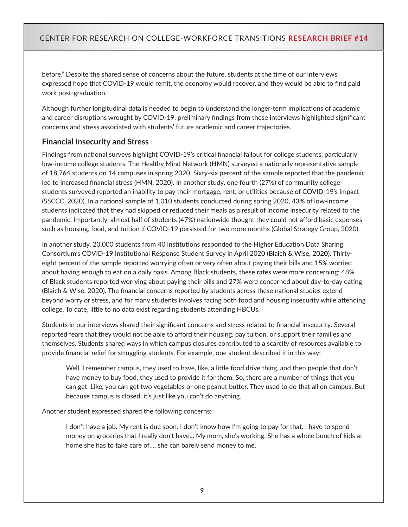before." Despite the shared sense of concerns about the future, students at the time of our interviews expressed hope that COVID-19 would remit, the economy would recover, and they would be able to find paid work post-graduation.

Although further longitudinal data is needed to begin to understand the longer-term implications of academic and career disruptions wrought by COVID-19, preliminary findings from these interviews highlighted significant concerns and stress associated with students' future academic and career trajectories.

#### **Financial Insecurity and Stress**

Findings from national surveys highlight COVID-19's critical financial fallout for college students, particularly low-income college students. The Healthy Mind Network (HMN) surveyed a nationally representative sample of 18,764 students on 14 campuses in spring 2020. Sixty-six percent of the sample reported that the pandemic led to increased financial stress (HMN, 2020). In another study, one fourth (27%) of community college students surveyed reported an inability to pay their mortgage, rent, or utilities because of COVID-19's impact (SSCCC, 2020). In a national sample of 1,010 students conducted during spring 2020, 43% of low-income students indicated that they had skipped or reduced their meals as a result of income insecurity related to the pandemic. Importantly, almost half of students (47%) nationwide thought they could not afford basic expenses such as housing, food, and tuition if COVID-19 persisted for two more months (Global Strategy Group, 2020).

In another study, 20,000 students from 40 institutions responded to the Higher Education Data Sharing Consortium's COVID-19 Institutional Response Student Survey in April 2020 (Blaich & Wise, 2020). Thirtyeight percent of the sample reported worrying often or very often about paying their bills and 15% worried about having enough to eat on a daily basis. Among Black students, these rates were more concerning; 48% of Black students reported worrying about paying their bills and 27% were concerned about day-to-day eating (Blaich & Wise, 2020). The financial concerns reported by students across these national studies extend beyond worry or stress, and for many students involves facing both food and housing insecurity while attending college. To date, little to no data exist regarding students attending HBCUs.

Students in our interviews shared their significant concerns and stress related to financial insecurity**.** Several reported fears that they would not be able to afford their housing, pay tuition, or support their families and themselves. Students shared ways in which campus closures contributed to a scarcity of resources available to provide financial relief for struggling students. For example, one student described it in this way:

Well, I remember campus, they used to have, like, a little food drive thing, and then people that don't have money to buy food, they used to provide it for them. So, there are a number of things that you can get. Like, you can get two vegetables or one peanut butter. They used to do that all on campus. But because campus is closed, it's just like you can't do anything.

Another student expressed shared the following concerns:

I don't have a job. My rent is due soon. I don't know how I'm going to pay for that. I have to spend money on groceries that I really don't have... My mom, she's working. She has a whole bunch of kids at home she has to take care of…. she can barely send money to me.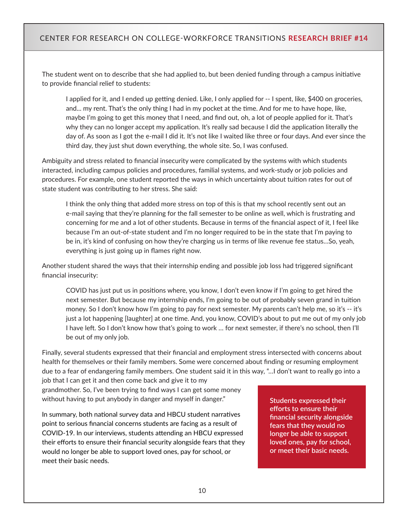The student went on to describe that she had applied to, but been denied funding through a campus initiative to provide financial relief to students:

I applied for it, and I ended up getting denied. Like, I only applied for -- I spent, like, \$400 on groceries, and... my rent. That's the only thing I had in my pocket at the time. And for me to have hope, like, maybe I'm going to get this money that I need, and find out, oh, a lot of people applied for it. That's why they can no longer accept my application. It's really sad because I did the application literally the day of. As soon as I got the e-mail I did it. It's not like I waited like three or four days. And ever since the third day, they just shut down everything, the whole site. So, I was confused.

Ambiguity and stress related to financial insecurity were complicated by the systems with which students interacted, including campus policies and procedures, familial systems, and work-study or job policies and procedures. For example, one student reported the ways in which uncertainty about tuition rates for out of state student was contributing to her stress. She said:

I think the only thing that added more stress on top of this is that my school recently sent out an e-mail saying that they're planning for the fall semester to be online as well, which is frustrating and concerning for me and a lot of other students. Because in terms of the financial aspect of it, I feel like because I'm an out-of-state student and I'm no longer required to be in the state that I'm paying to be in, it's kind of confusing on how they're charging us in terms of like revenue fee status…So, yeah, everything is just going up in flames right now.

Another student shared the ways that their internship ending and possible job loss had triggered significant financial insecurity:

COVID has just put us in positions where, you know, I don't even know if I'm going to get hired the next semester. But because my internship ends, I'm going to be out of probably seven grand in tuition money. So I don't know how I'm going to pay for next semester. My parents can't help me, so it's -- it's just a lot happening [laughter] at one time. And, you know, COVID's about to put me out of my only job I have left. So I don't know how that's going to work … for next semester, if there's no school, then I'll be out of my only job.

Finally, several students expressed that their financial and employment stress intersected with concerns about health for themselves or their family members. Some were concerned about finding or resuming employment due to a fear of endangering family members. One student said it in this way, "…I don't want to really go into a

job that I can get it and then come back and give it to my grandmother. So, I've been trying to find ways I can get some money without having to put anybody in danger and myself in danger."

In summary, both national survey data and HBCU student narratives point to serious financial concerns students are facing as a result of COVID-19. In our interviews, students attending an HBCU expressed their efforts to ensure their financial security alongside fears that they would no longer be able to support loved ones, pay for school, or meet their basic needs.

**Students expressed their efforts to ensure their financial security alongside fears that they would no longer be able to support loved ones, pay for school, or meet their basic needs.**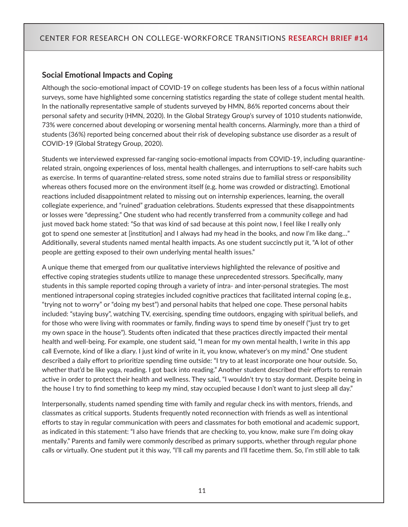#### **Social Emotional Impacts and Coping**

Although the socio-emotional impact of COVID-19 on college students has been less of a focus within national surveys, some have highlighted some concerning statistics regarding the state of college student mental health. In the nationally representative sample of students surveyed by HMN, 86% reported concerns about their personal safety and security (HMN, 2020). In the Global Strategy Group's survey of 1010 students nationwide, 73% were concerned about developing or worsening mental health concerns. Alarmingly, more than a third of students (36%) reported being concerned about their risk of developing substance use disorder as a result of COVID-19 (Global Strategy Group, 2020).

Students we interviewed expressed far-ranging socio-emotional impacts from COVID-19, including quarantinerelated strain, ongoing experiences of loss, mental health challenges, and interruptions to self-care habits such as exercise. In terms of quarantine-related stress, some noted strains due to familial stress or responsibility whereas others focused more on the environment itself (e.g. home was crowded or distracting). Emotional reactions included disappointment related to missing out on internship experiences, learning, the overall collegiate experience, and "ruined" graduation celebrations. Students expressed that these disappointments or losses were "depressing." One student who had recently transferred from a community college and had just moved back home stated: "So that was kind of sad because at this point now, I feel like I really only got to spend one semester at [institution] and I always had my head in the books, and now I'm like dang..." Additionally, several students named mental health impacts. As one student succinctly put it, "A lot of other people are getting exposed to their own underlying mental health issues."

A unique theme that emerged from our qualitative interviews highlighted the relevance of positive and effective coping strategies students utilize to manage these unprecedented stressors. Specifically, many students in this sample reported coping through a variety of intra- and inter-personal strategies. The most mentioned intrapersonal coping strategies included cognitive practices that facilitated internal coping (e.g., "trying not to worry" or "doing my best") and personal habits that helped one cope. These personal habits included: "staying busy", watching TV, exercising, spending time outdoors, engaging with spiritual beliefs, and for those who were living with roommates or family, finding ways to spend time by oneself ("just try to get my own space in the house"). Students often indicated that these practices directly impacted their mental health and well-being. For example, one student said, "I mean for my own mental health, I write in this app call Evernote, kind of like a diary. I just kind of write in it, you know, whatever's on my mind." One student described a daily effort to prioritize spending time outside: "I try to at least incorporate one hour outside. So, whether that'd be like yoga, reading. I got back into reading." Another student described their efforts to remain active in order to protect their health and wellness. They said, "I wouldn't try to stay dormant. Despite being in the house I try to find something to keep my mind, stay occupied because I don't want to just sleep all day."

Interpersonally, students named spending time with family and regular check ins with mentors, friends, and classmates as critical supports. Students frequently noted reconnection with friends as well as intentional efforts to stay in regular communication with peers and classmates for both emotional and academic support, as indicated in this statement: "I also have friends that are checking to, you know, make sure I'm doing okay mentally." Parents and family were commonly described as primary supports, whether through regular phone calls or virtually. One student put it this way, "I'll call my parents and I'll facetime them. So, I'm still able to talk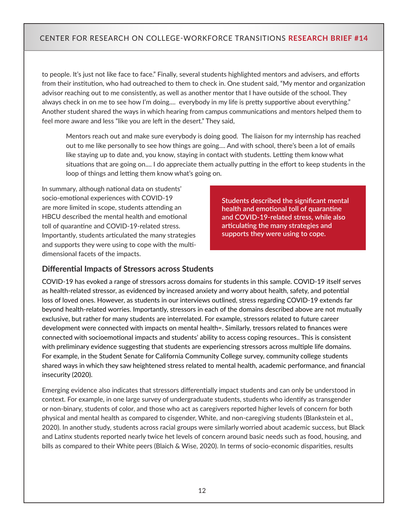to people. It's just not like face to face." Finally, several students highlighted mentors and advisers, and efforts from their institution, who had outreached to them to check in. One student said, "My mentor and organization advisor reaching out to me consistently, as well as another mentor that I have outside of the school. They always check in on me to see how I'm doing.... everybody in my life is pretty supportive about everything." Another student shared the ways in which hearing from campus communications and mentors helped them to feel more aware and less "like you are left in the desert." They said,

Mentors reach out and make sure everybody is doing good. The liaison for my internship has reached out to me like personally to see how things are going.... And with school, there's been a lot of emails like staying up to date and, you know, staying in contact with students. Letting them know what situations that are going on.... I do appreciate them actually putting in the effort to keep students in the loop of things and letting them know what's going on.

In summary, although national data on students' socio-emotional experiences with COVID-19 are more limited in scope, students attending an HBCU described the mental health and emotional toll of quarantine and COVID-19-related stress. Importantly, students articulated the many strategies and supports they were using to cope with the multidimensional facets of the impacts.

**Students described the significant mental health and emotional toll of quarantine and COVID-19-related stress, while also articulating the many strategies and supports they were using to cope.**

#### **Differential Impacts of Stressors across Students**

COVID-19 has evoked a range of stressors across domains for students in this sample. COVID-19 itself serves as health-related stressor, as evidenced by increased anxiety and worry about health, safety, and potential loss of loved ones. However, as students in our interviews outlined, stress regarding COVID-19 extends far beyond health-related worries. Importantly, stressors in each of the domains described above are not mutually exclusive, but rather for many students are interrelated. For example, stressors related to future career development were connected with impacts on mental health=. Similarly, tressors related to finances were connected with socioemotional impacts and students' ability to access coping resources.. This is consistent with preliminary evidence suggesting that students are experiencing stressors across multiple life domains. For example, in the Student Senate for California Community College survey, community college students shared ways in which they saw heightened stress related to mental health, academic performance, and financial insecurity (2020).

Emerging evidence also indicates that stressors differentially impact students and can only be understood in context. For example, in one large survey of undergraduate students, students who identify as transgender or non-binary, students of color, and those who act as caregivers reported higher levels of concern for both physical and mental health as compared to cisgender, White, and non-caregiving students (Blankstein et al., 2020). In another study, students across racial groups were similarly worried about academic success, but Black and Latinx students reported nearly twice het levels of concern around basic needs such as food, housing, and bills as compared to their White peers (Blaich & Wise, 2020). In terms of socio-economic disparities, results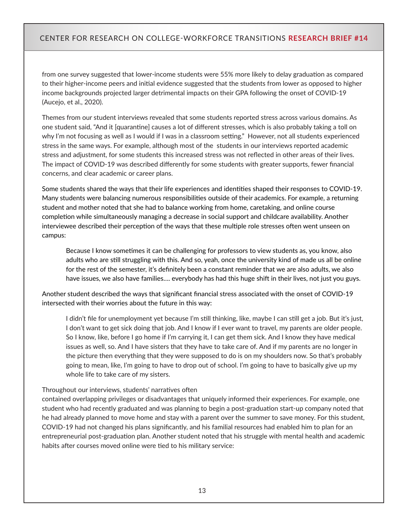from one survey suggested that lower-income students were 55% more likely to delay graduation as compared to their higher-income peers and initial evidence suggested that the students from lower as opposed to higher income backgrounds projected larger detrimental impacts on their GPA following the onset of COVID-19 (Aucejo, et al., 2020).

Themes from our student interviews revealed that some students reported stress across various domains. As one student said, "And it [quarantine] causes a lot of different stresses, which is also probably taking a toll on why I'm not focusing as well as I would if I was in a classroom setting." However, not all students experienced stress in the same ways. For example, although most of the students in our interviews reported academic stress and adjustment, for some students this increased stress was not reflected in other areas of their lives. The impact of COVID-19 was described differently for some students with greater supports, fewer financial concerns, and clear academic or career plans.

Some students shared the ways that their life experiences and identities shaped their responses to COVID-19. Many students were balancing numerous responsibilities outside of their academics. For example, a returning student and mother noted that she had to balance working from home, caretaking, and online course completion while simultaneously managing a decrease in social support and childcare availability. Another interviewee described their perception of the ways that these multiple role stresses often went unseen on campus:

Because I know sometimes it can be challenging for professors to view students as, you know, also adults who are still struggling with this. And so, yeah, once the university kind of made us all be online for the rest of the semester, it's definitely been a constant reminder that we are also adults, we also have issues, we also have families…. everybody has had this huge shift in their lives, not just you guys.

Another student described the ways that significant financial stress associated with the onset of COVID-19 intersected with their worries about the future in this way:

I didn't file for unemployment yet because I'm still thinking, like, maybe I can still get a job. But it's just, I don't want to get sick doing that job. And I know if I ever want to travel, my parents are older people. So I know, like, before I go home if I'm carrying it, I can get them sick. And I know they have medical issues as well, so. And I have sisters that they have to take care of. And if my parents are no longer in the picture then everything that they were supposed to do is on my shoulders now. So that's probably going to mean, like, I'm going to have to drop out of school. I'm going to have to basically give up my whole life to take care of my sisters.

#### Throughout our interviews, students' narratives often

contained overlapping privileges or disadvantages that uniquely informed their experiences. For example, one student who had recently graduated and was planning to begin a post-graduation start-up company noted that he had already planned to move home and stay with a parent over the summer to save money. For this student, COVID-19 had not changed his plans significantly, and his familial resources had enabled him to plan for an entrepreneurial post-graduation plan. Another student noted that his struggle with mental health and academic habits after courses moved online were tied to his military service: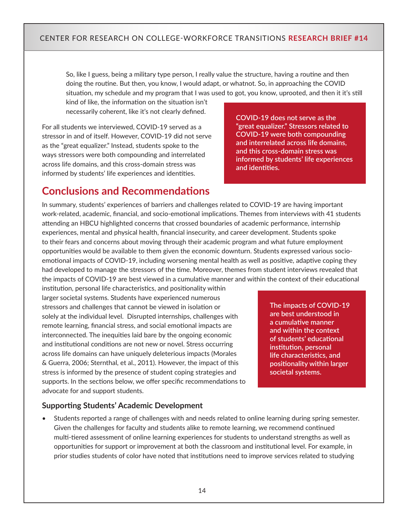So, like I guess, being a military type person, I really value the structure, having a routine and then doing the routine. But then, you know, I would adapt, or whatnot. So, in approaching the COVID situation, my schedule and my program that I was used to got, you know, uprooted, and then it it's still

kind of like, the information on the situation isn't necessarily coherent, like it's not clearly defined.

For all students we interviewed, COVID-19 served as a stressor in and of itself. However, COVID-19 did not serve as the "great equalizer." Instead, students spoke to the ways stressors were both compounding and interrelated across life domains, and this cross-domain stress was informed by students' life experiences and identities.

**COVID-19 does not serve as the "great equalizer." Stressors related to COVID-19 were both compounding and interrelated across life domains, and this cross-domain stress was informed by students' life experiences and identities.**

# **Conclusions and Recommendations**

In summary, students' experiences of barriers and challenges related to COVID-19 are having important work-related, academic, financial, and socio-emotional implications. Themes from interviews with 41 students attending an HBCU highlighted concerns that crossed boundaries of academic performance, internship experiences, mental and physical health, financial insecurity, and career development. Students spoke to their fears and concerns about moving through their academic program and what future employment opportunities would be available to them given the economic downturn. Students expressed various socioemotional impacts of COVID-19, including worsening mental health as well as positive, adaptive coping they had developed to manage the stressors of the time. Moreover, themes from student interviews revealed that the impacts of COVID-19 are best viewed in a cumulative manner and within the context of their educational

institution, personal life characteristics, and positionality within larger societal systems. Students have experienced numerous stressors and challenges that cannot be viewed in isolation or solely at the individual level. Disrupted internships, challenges with remote learning, financial stress, and social emotional impacts are interconnected. The inequities laid bare by the ongoing economic and institutional conditions are not new or novel. Stress occurring across life domains can have uniquely deleterious impacts (Morales & Guerra, 2006; Sternthal, et al., 2011). However, the impact of this stress is informed by the presence of student coping strategies and supports. In the sections below, we offer specific recommendations to advocate for and support students.

**The impacts of COVID-19 are best understood in a cumulative manner and within the context of students' educational institution, personal life characteristics, and positionality within larger societal systems.** 

#### **Supporting Students' Academic Development**

• Students reported a range of challenges with and needs related to online learning during spring semester. Given the challenges for faculty and students alike to remote learning, we recommend continued multi-tiered [assessment](https://www.chronicle.com/article/5-ways-to-connect-with-online-students?bc_nonce=vb3xagzp7a3vrcaa2yl5z&cid=reg_wall_signup) of online learning experiences for students to understand strengths as well as opportunities for support or improvement at both the classroom and institutional level. For example, in prior studies students of color have noted that institutions need to improve services related to studying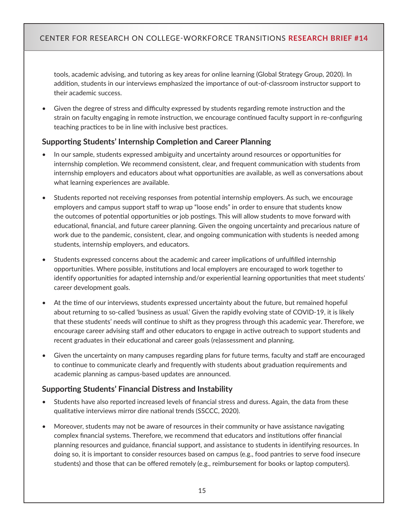tools, academic advising, and tutoring as key areas for online learning (Global Strategy Group, 2020). In addition, students in our interviews emphasized the importance of out-of-classroom instructor support to their academic success.

• Given the degree of stress and difficulty expressed by students regarding remote instruction and the strain on faculty engaging in remote instruction, we encourage continued faculty support in re-configuring teaching practices to be in line with [inclusive best practices.](https://www.chronicle.com/article/8-ways-to-be-more-inclusive-in-your-zoom-teaching/)

#### **Supporting Students' Internship Completion and Career Planning**

- In our sample, students expressed ambiguity and uncertainty around resources or opportunities for internship completion. We recommend consistent, clear, and frequent communication with students from internship employers and educators about what opportunities are available, as well as conversations about what learning experiences are available.
- Students reported not receiving responses from potential internship employers. As such, we encourage employers and campus support staff to wrap up "loose ends" in order to ensure that students know the outcomes of potential opportunities or job postings. This will allow students to move forward with educational, financial, and future career planning. Given the ongoing uncertainty and precarious nature of work due to the pandemic, consistent, clear, and ongoing communication with students is needed among students, internship employers, and educators.
- Students expressed concerns about the academic and career implications of unfulfilled internship opportunities. Where possible, institutions and local employers are encouraged to work together to identify opportunities for adapted internship and/or experiential learning opportunities that meet students' career development goals.
- At the time of our interviews, students expressed uncertainty about the future, but remained hopeful about returning to so-called 'business as usual.' Given the rapidly evolving state of COVID-19, it is likely that these students' needs will continue to shift as they progress through this academic year. Therefore, we encourage career advising staff and other educators to engage in active outreach to support students and recent graduates in their educational and career goals (re)assessment and planning.
- Given the uncertainty on many campuses regarding plans for future terms, faculty and staff are encouraged to continue to communicate clearly and frequently with students about graduation requirements and academic planning as campus-based updates are announced.

#### **Supporting Students' Financial Distress and Instability**

- Students have also reported increased levels of financial stress and duress. Again, the data from these qualitative interviews mirror dire national trends (SSCCC, 2020).
- Moreover, students may not be aware of resources in their community or have assistance navigating complex financial systems. Therefore, we recommend that educators and institutions offer financial planning resources and guidance, financial support, and assistance to students in identifying resources. In doing so, it is important to consider resources based on campus (e.g., food pantries to serve food insecure students) and those that can be offered remotely (e.g., reimbursement for books or laptop computers).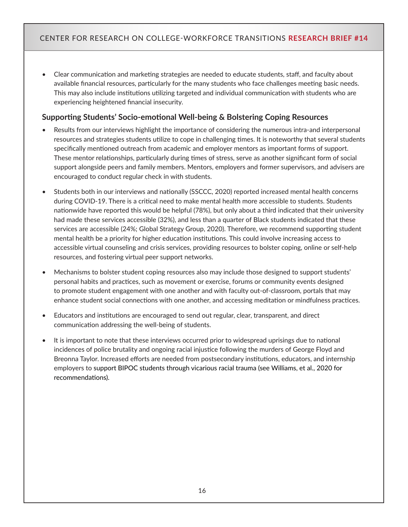• Clear communication and marketing strategies are needed to educate students, staff, and faculty about available financial resources, particularly for the many students who face challenges meeting basic needs. This may also include institutions utilizing targeted and individual communication with students who are experiencing heightened financial insecurity.

## **Supporting Students' Socio-emotional Well-being & Bolstering Coping Resources**

- Results from our interviews highlight the importance of considering the numerous intra-and interpersonal resources and strategies students utilize to cope in challenging times. It is noteworthy that several students specifically mentioned outreach from academic and employer mentors as important forms of support. These mentor relationships, particularly during times of stress, serve as another significant form of social support alongside peers and family members. Mentors, employers and former supervisors, and advisers are encouraged to conduct regular check in with students.
- Students both in our interviews and nationally (SSCCC, 2020) reported increased mental health concerns during COVID-19. There is a critical need to make mental health more accessible to students. Students nationwide have reported this would be helpful (78%), but only about a third indicated that their university had made these services accessible (32%), and less than a quarter of Black students indicated that these services are accessible (24%; Global Strategy Group, 2020). Therefore, we recommend supporting student mental health be a priority for higher education institutions. This could involve increasing access to accessible virtual counseling and crisis services, providing resources to bolster coping, online or self-help resources, and fostering virtual peer support networks.
- Mechanisms to bolster student coping resources also may include those designed to support students' personal habits and practices, such as movement or exercise, forums or community events designed to promote student engagement with one another and with faculty out-of-classroom, portals that may enhance student social connections with one another, and accessing meditation or mindfulness practices.
- Educators and institutions are encouraged to send out regular, clear, transparent, and direct communication addressing the well-being of students.
- It is important to note that these interviews occurred prior to widespread uprisings due to national incidences of police brutality and ongoing racial injustice following the murders of George Floyd and Breonna Taylor. Increased efforts are needed from postsecondary institutions, educators, and internship employers to support BIPOC students through vicarious racial trauma (see Williams, et al., 2020 for recommendations).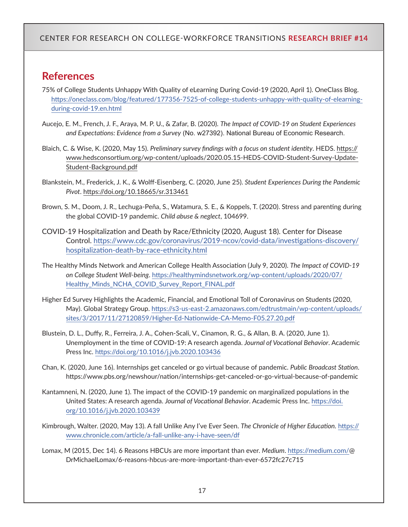# **References**

- 75% of College Students Unhappy With Quality of eLearning During Covid-19 (2020, April 1). OneClass Blog. [https://oneclass.com/blog/featured/177356-7525-of-college-students-unhappy-with-quality-of-elearning](https://oneclass.com/blog/featured/177356-7525-of-college-students-unhappy-with-quality-of-elearning-during-covid-19.en.html)[during-covid-19.en.html](https://oneclass.com/blog/featured/177356-7525-of-college-students-unhappy-with-quality-of-elearning-during-covid-19.en.html)
- Aucejo, E. M., French, J. F., Araya, M. P. U., & Zafar, B. (2020). *The Impact of COVID-19 on Student Experiences and Expectations: Evidence from a Survey* (No. w27392). National Bureau of Economic Research.
- Blaich, C. & Wise, K. (2020, May 15). *Preliminary survey findings with a focus on student identity*. HEDS. [https://](https://www.hedsconsortium.org/wp-content/uploads/2020.05.15-HEDS-COVID-Student-Survey-Update-Student-Background.pdf) [www.hedsconsortium.org/wp-content/uploads/2020.05.15-HEDS-COVID-Student-Survey-Update-](https://www.hedsconsortium.org/wp-content/uploads/2020.05.15-HEDS-COVID-Student-Survey-Update-Student-Background.pdf)[Student-Background.pdf](https://www.hedsconsortium.org/wp-content/uploads/2020.05.15-HEDS-COVID-Student-Survey-Update-Student-Background.pdf)
- Blankstein, M., Frederick, J. K., & Wolff-Eisenberg, C. (2020, June 25). *Student Experiences During the Pandemic Pivot*.<https://doi.org/10.18665/sr.313461>
- Brown, S. M., Doom, J. R., Lechuga-Peña, S., Watamura, S. E., & Koppels, T. (2020). Stress and parenting during the global COVID-19 pandemic. *Child abuse & neglect*, 104699.
- COVID-19 Hospitalization and Death by Race/Ethnicity (2020, August 18). Center for Disease Control. [https://www.cdc.gov/coronavirus/2019-ncov/covid-data/investigations-discovery/](https://www.cdc.gov/coronavirus/2019-ncov/covid-data/investigations-discovery/hospitalization-death-by-race-ethnicity.html) [hospitalization-death-by-race-ethnicity.html](https://www.cdc.gov/coronavirus/2019-ncov/covid-data/investigations-discovery/hospitalization-death-by-race-ethnicity.html)
- The Healthy Minds Network and American College Health Association (July 9, 2020). *The Impact of COVID-19 on College Student Well-being*. [https://healthymindsnetwork.org/wp-content/uploads/2020/07/](https://healthymindsnetwork.org/wp-content/uploads/2020/07/Healthy_Minds_NCHA_COVID_Survey_Report_FINAL.pdf) [Healthy\\_Minds\\_NCHA\\_COVID\\_Survey\\_Report\\_FINAL.pdf](https://healthymindsnetwork.org/wp-content/uploads/2020/07/Healthy_Minds_NCHA_COVID_Survey_Report_FINAL.pdf)
- Higher Ed Survey Highlights the Academic, Financial, and Emotional Toll of Coronavirus on Students (2020, May). Global Strategy Group. [https://s3-us-east-2.amazonaws.com/edtrustmain/wp-content/uploads/](https://s3-us-east-2.amazonaws.com/edtrustmain/wp-content/uploads/sites/3/2017/11/27120859/Higher-Ed-Nationwide-CA-Memo-F05.27.20.pdf) [sites/3/2017/11/27120859/Higher-Ed-Nationwide-CA-Memo-F05.27.20.pdf](https://s3-us-east-2.amazonaws.com/edtrustmain/wp-content/uploads/sites/3/2017/11/27120859/Higher-Ed-Nationwide-CA-Memo-F05.27.20.pdf)
- Blustein, D. L., Duffy, R., Ferreira, J. A., Cohen-Scali, V., Cinamon, R. G., & Allan, B. A. (2020, June 1). Unemployment in the time of COVID-19: A research agenda. *Journal of Vocational Behavior*. Academic Press Inc. <https://doi.org/10.1016/j.jvb.2020.103436>
- Chan, K. (2020, June 16). Internships get canceled or go virtual because of pandemic. *Public Broadcast Station*. <https://www.pbs.org/newshour/nation/internships-get-canceled-or-go-virtual-because-of-pandemic>
- Kantamneni, N. (2020, June 1). The impact of the COVID-19 pandemic on marginalized populations in the United States: A research agenda. *Journal of Vocational Behavior*. Academic Press Inc. [https://doi.](https://doi.org/10.1016/j.jvb.2020.103439) [org/10.1016/j.jvb.2020.103439](https://doi.org/10.1016/j.jvb.2020.103439)
- Kimbrough, Walter. (2020, May 13). A fall Unlike Any I've Ever Seen. *The Chronicle of Higher Education.* [https://](https://www.chronicle.com/article/a-fall-unlike-any-i-have-seen/df) [www.chronicle.com/article/a-fall-unlike-any-i-have-seen/df](https://www.chronicle.com/article/a-fall-unlike-any-i-have-seen/df)
- Lomax, M (2015, Dec 14). 6 Reasons HBCUs are more important than ever. *Medium*.<https://medium.com/>@ DrMichaelLomax/6-reasons-hbcus-are-more-important-than-ever-6572fc27c715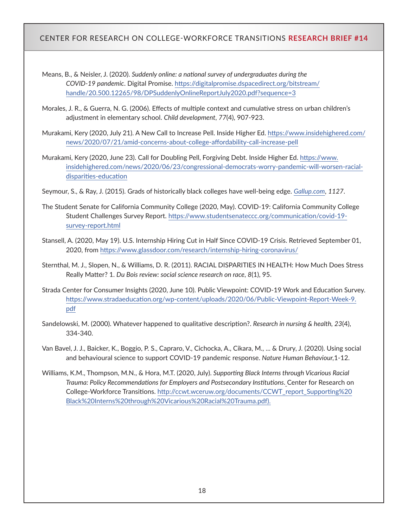Means, B., & Neisler, J. (2020). *Suddenly online: a national survey of undergraduates during the COVID-19 pandemic*. Digital Promise. [https://digitalpromise.dspacedirect.org/bitstream/](https://digitalpromise.dspacedirect.org/bitstream/handle/20.500.12265/98/DPSuddenlyOnlineReportJuly2020.pdf?sequence=3) [handle/20.500.12265/98/DPSuddenlyOnlineReportJuly2020.pdf?sequence=3](https://digitalpromise.dspacedirect.org/bitstream/handle/20.500.12265/98/DPSuddenlyOnlineReportJuly2020.pdf?sequence=3)

- Morales, J. R., & Guerra, N. G. (2006). Effects of multiple context and cumulative stress on urban children's adjustment in elementary school. *Child development*, *77*(4), 907-923.
- Murakami, Kery (2020, July 21). A New Call to Increase Pell. Inside Higher Ed. [https://www.insidehighered.com/](https://www.insidehighered.com/news/2020/07/21/amid-concerns-about-college-affordability-call-increase-pell) [news/2020/07/21/amid-concerns-about-college-affordability-call-increase-pell](https://www.insidehighered.com/news/2020/07/21/amid-concerns-about-college-affordability-call-increase-pell)
- Murakami, Kery (2020, June 23). Call for Doubling Pell, Forgiving Debt. Inside Higher Ed. [https://www.](https://www.insidehighered.com/news/2020/06/23/congressional-democrats-worry-pandemic-will-worsen-racial-disparities-education) [insidehighered.com/news/2020/06/23/congressional-democrats-worry-pandemic-will-worsen-racial](https://www.insidehighered.com/news/2020/06/23/congressional-democrats-worry-pandemic-will-worsen-racial-disparities-education)[disparities-education](https://www.insidehighered.com/news/2020/06/23/congressional-democrats-worry-pandemic-will-worsen-racial-disparities-education)

Seymour, S., & Ray, J. (2015). Grads of historically black colleges have well-being edge. *[Gallup.com](http://Gallup.com)*, *1127*.

- The Student Senate for California Community College (2020, May). COVID-19: California Community College Student Challenges Survey Report. [https://www.studentsenateccc.org/communication/covid-19](https://www.studentsenateccc.org/communication/covid-19-survey-report.html) [survey-report.html](https://www.studentsenateccc.org/communication/covid-19-survey-report.html)
- Stansell, A. (2020, May 19). U.S. Internship Hiring Cut in Half Since COVID-19 Crisis. Retrieved September 01, 2020, from<https://www.glassdoor.com/research/internship-hiring-coronavirus/>
- Sternthal, M. J., Slopen, N., & Williams, D. R. (2011). RACIAL DISPARITIES IN HEALTH: How Much Does Stress Really Matter? 1. *Du Bois review: social science research on race*, *8*(1), 95.
- Strada Center for Consumer Insights (2020, June 10). Public Viewpoint: COVID-19 Work and Education Survey. [https://www.stradaeducation.org/wp-content/uploads/2020/06/Public-Viewpoint-Report-Week-9.](https://www.stradaeducation.org/wp-content/uploads/2020/06/Public-Viewpoint-Report-Week-9.pdf) [pdf](https://www.stradaeducation.org/wp-content/uploads/2020/06/Public-Viewpoint-Report-Week-9.pdf)
- Sandelowski, M. (2000). Whatever happened to qualitative description?. *Research in nursing & health, 23*(4), 334-340.
- Van Bavel, J. J., Baicker, K., Boggio, P. S., Capraro, V., Cichocka, A., Cikara, M., ... & Drury, J. (2020). Using social and behavioural science to support COVID-19 pandemic response. *Nature Human Behaviour,*1-12.
- Williams, K.M., Thompson, M.N., & Hora, M.T. (2020, July). *Supporting Black Interns through Vicarious Racial Trauma: Policy Recommendations for Employers and Postsecondary Institutions*. Center for Research on College-Workforce Transitions. [http://ccwt.wceruw.org/documents/CCWT\\_report\\_Supporting%20](http://ccwt.wceruw.org/documents/CCWT_report_Supporting%20Black%20Interns%20through%20Vicarious%20Racial%20Trauma.pdf) [Black%20Interns%20through%20Vicarious%20Racial%20Trauma.pdf](http://ccwt.wceruw.org/documents/CCWT_report_Supporting%20Black%20Interns%20through%20Vicarious%20Racial%20Trauma.pdf)).